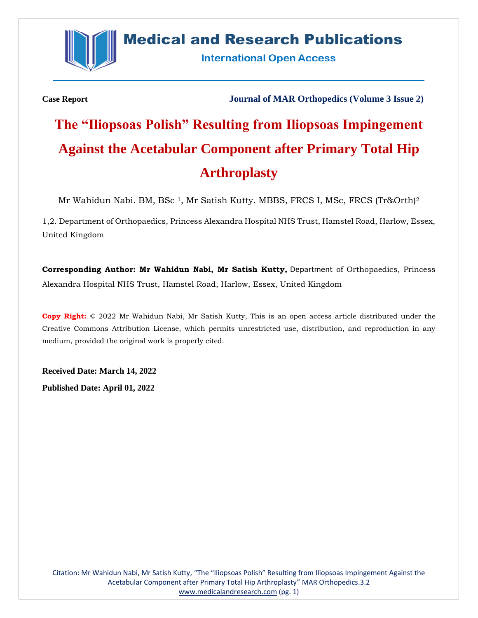

## **Medical and Research Publications**

**International Open Access** 

**Case Report Journal of MAR Orthopedics (Volume 3 Issue 2)**

# **The "Iliopsoas Polish" Resulting from Iliopsoas Impingement Against the Acetabular Component after Primary Total Hip Arthroplasty**

Mr Wahidun Nabi. BM, BSc<sup>1</sup>, Mr Satish Kutty. MBBS, FRCS I, MSc, FRCS (Tr&Orth)<sup>2</sup>

1,2. Department of Orthopaedics, Princess Alexandra Hospital NHS Trust, Hamstel Road, Harlow, Essex, United Kingdom

**Corresponding Author: Mr Wahidun Nabi, Mr Satish Kutty,** Department of Orthopaedics, Princess Alexandra Hospital NHS Trust, Hamstel Road, Harlow, Essex, United Kingdom

**Copy Right:** © 2022 Mr Wahidun Nabi, Mr Satish Kutty, This is an open access article distributed under the Creative Commons Attribution License, which permits unrestricted use, distribution, and reproduction in any medium, provided the original work is properly cited.

**Received Date: March 14, 2022**

**Published Date: April 01, 2022**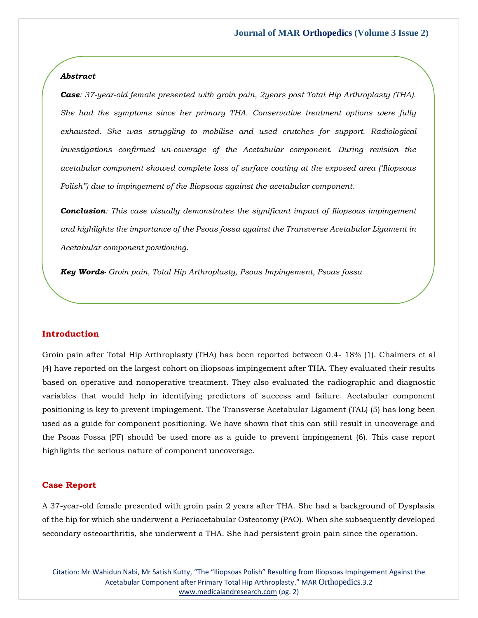#### *Abstract*

*Case: 37-year-old female presented with groin pain, 2years post Total Hip Arthroplasty (THA). She had the symptoms since her primary THA. Conservative treatment options were fully exhausted. She was struggling to mobilise and used crutches for support. Radiological investigations confirmed un-coverage of the Acetabular component. During revision the acetabular component showed complete loss of surface coating at the exposed area ('Iliopsoas Polish") due to impingement of the Iliopsoas against the acetabular component.*

*Conclusion: This case visually demonstrates the significant impact of Iliopsoas impingement and highlights the importance of the Psoas fossa against the Transverse Acetabular Ligament in Acetabular component positioning.* 

*Key Words- Groin pain, Total Hip Arthroplasty, Psoas Impingement, Psoas fossa*

#### **Introduction**

Groin pain after Total Hip Arthroplasty (THA) has been reported between 0.4- 18% (1). Chalmers et al (4) have reported on the largest cohort on iliopsoas impingement after THA. They evaluated their results based on operative and nonoperative treatment. They also evaluated the radiographic and diagnostic variables that would help in identifying predictors of success and failure. Acetabular component positioning is key to prevent impingement. The Transverse Acetabular Ligament (TAL) (5) has long been used as a guide for component positioning. We have shown that this can still result in uncoverage and the Psoas Fossa (PF) should be used more as a guide to prevent impingement (6). This case report highlights the serious nature of component uncoverage.

#### **Case Report**

A 37-year-old female presented with groin pain 2 years after THA. She had a background of Dysplasia of the hip for which she underwent a Periacetabular Osteotomy (PAO). When she subsequently developed secondary osteoarthritis, she underwent a THA. She had persistent groin pain since the operation.

Citation: Mr Wahidun Nabi, Mr Satish Kutty, "The "Iliopsoas Polish" Resulting from Iliopsoas Impingement Against the Acetabular Component after Primary Total Hip Arthroplasty." MAR Orthopedics.3.2 [www.medicalandresearch.com](http://www.medicalandresearch.com/) (pg. 2)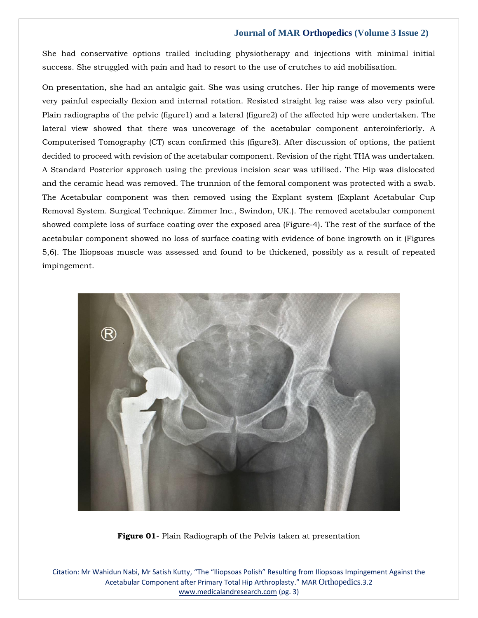She had conservative options trailed including physiotherapy and injections with minimal initial success. She struggled with pain and had to resort to the use of crutches to aid mobilisation.

On presentation, she had an antalgic gait. She was using crutches. Her hip range of movements were very painful especially flexion and internal rotation. Resisted straight leg raise was also very painful. Plain radiographs of the pelvic (figure1) and a lateral (figure2) of the affected hip were undertaken. The lateral view showed that there was uncoverage of the acetabular component anteroinferiorly. A Computerised Tomography (CT) scan confirmed this (figure3). After discussion of options, the patient decided to proceed with revision of the acetabular component. Revision of the right THA was undertaken. A Standard Posterior approach using the previous incision scar was utilised. The Hip was dislocated and the ceramic head was removed. The trunnion of the femoral component was protected with a swab. The Acetabular component was then removed using the Explant system (Explant Acetabular Cup Removal System. Surgical Technique. Zimmer Inc., Swindon, UK.). The removed acetabular component showed complete loss of surface coating over the exposed area (Figure-4). The rest of the surface of the acetabular component showed no loss of surface coating with evidence of bone ingrowth on it (Figures 5,6). The Iliopsoas muscle was assessed and found to be thickened, possibly as a result of repeated impingement.



**Figure 01**- Plain Radiograph of the Pelvis taken at presentation

Citation: Mr Wahidun Nabi, Mr Satish Kutty, "The "Iliopsoas Polish" Resulting from Iliopsoas Impingement Against the Acetabular Component after Primary Total Hip Arthroplasty." MAR Orthopedics.3.2 [www.medicalandresearch.com](http://www.medicalandresearch.com/) (pg. 3)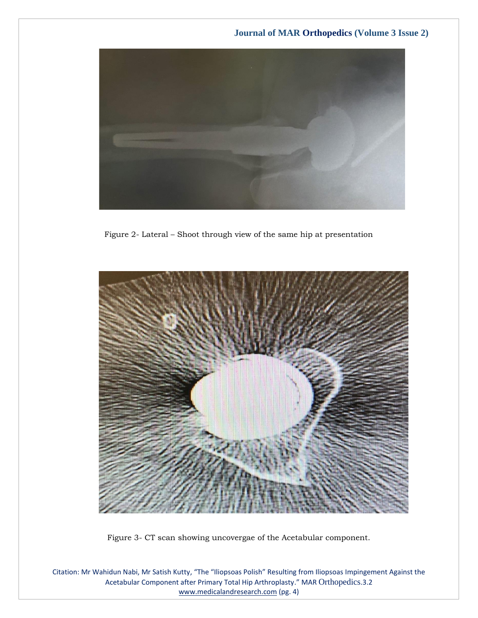

Figure 2- Lateral – Shoot through view of the same hip at presentation



Figure 3- CT scan showing uncovergae of the Acetabular component.

Citation: Mr Wahidun Nabi, Mr Satish Kutty, "The "Iliopsoas Polish" Resulting from Iliopsoas Impingement Against the Acetabular Component after Primary Total Hip Arthroplasty." MAR Orthopedics.3.2 [www.medicalandresearch.com](http://www.medicalandresearch.com/) (pg. 4)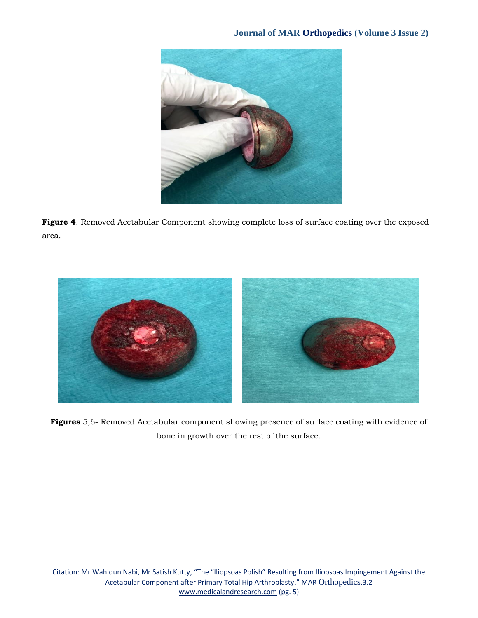

**Figure 4**. Removed Acetabular Component showing complete loss of surface coating over the exposed area.



**Figures** 5,6- Removed Acetabular component showing presence of surface coating with evidence of bone in growth over the rest of the surface.

Citation: Mr Wahidun Nabi, Mr Satish Kutty, "The "Iliopsoas Polish" Resulting from Iliopsoas Impingement Against the Acetabular Component after Primary Total Hip Arthroplasty." MAR Orthopedics.3.2 [www.medicalandresearch.com](http://www.medicalandresearch.com/) (pg. 5)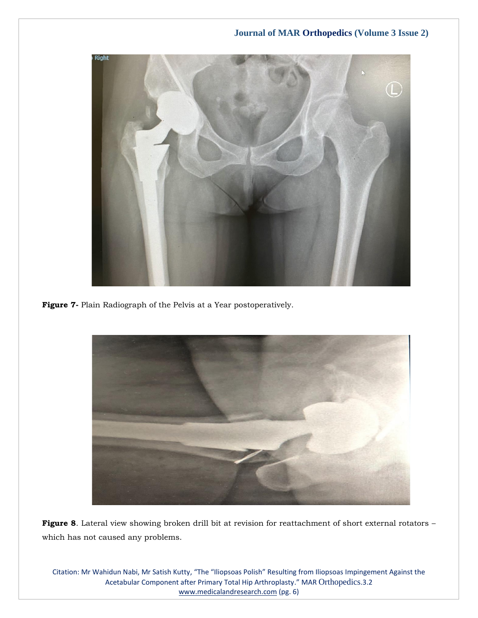

**Figure 7-** Plain Radiograph of the Pelvis at a Year postoperatively.



**Figure 8**. Lateral view showing broken drill bit at revision for reattachment of short external rotators – which has not caused any problems.

Citation: Mr Wahidun Nabi, Mr Satish Kutty, "The "Iliopsoas Polish" Resulting from Iliopsoas Impingement Against the Acetabular Component after Primary Total Hip Arthroplasty." MAR Orthopedics.3.2 [www.medicalandresearch.com](http://www.medicalandresearch.com/) (pg. 6)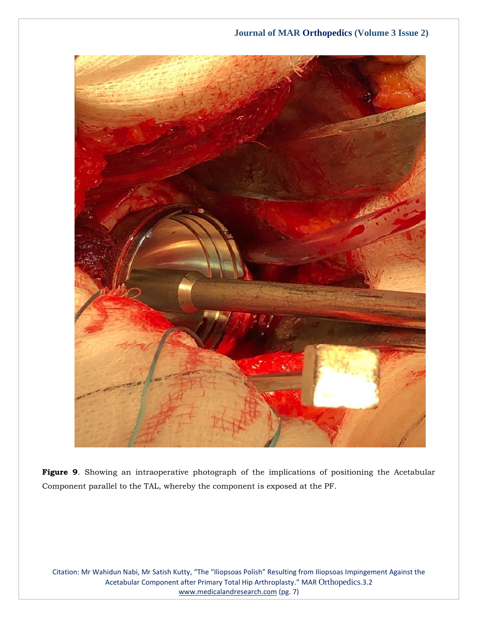

**Figure 9**. Showing an intraoperative photograph of the implications of positioning the Acetabular Component parallel to the TAL, whereby the component is exposed at the PF.

Citation: Mr Wahidun Nabi, Mr Satish Kutty, "The "Iliopsoas Polish" Resulting from Iliopsoas Impingement Against the Acetabular Component after Primary Total Hip Arthroplasty." MAR Orthopedics.3.2 [www.medicalandresearch.com](http://www.medicalandresearch.com/) (pg. 7)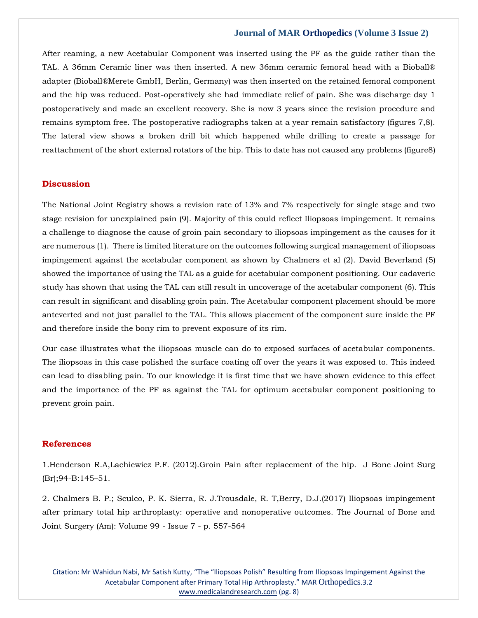After reaming, a new Acetabular Component was inserted using the PF as the guide rather than the TAL. A 36mm Ceramic liner was then inserted. A new 36mm ceramic femoral head with a Bioball® adapter (Bioball®Merete GmbH, Berlin, Germany) was then inserted on the retained femoral component and the hip was reduced. Post-operatively she had immediate relief of pain. She was discharge day 1 postoperatively and made an excellent recovery. She is now 3 years since the revision procedure and remains symptom free. The postoperative radiographs taken at a year remain satisfactory (figures 7,8). The lateral view shows a broken drill bit which happened while drilling to create a passage for reattachment of the short external rotators of the hip. This to date has not caused any problems (figure8)

## **Discussion**

The National Joint Registry shows a revision rate of 13% and 7% respectively for single stage and two stage revision for unexplained pain (9). Majority of this could reflect Iliopsoas impingement. It remains a challenge to diagnose the cause of groin pain secondary to iliopsoas impingement as the causes for it are numerous (1). There is limited literature on the outcomes following surgical management of iliopsoas impingement against the acetabular component as shown by Chalmers et al (2). David Beverland (5) showed the importance of using the TAL as a guide for acetabular component positioning. Our cadaveric study has shown that using the TAL can still result in uncoverage of the acetabular component (6). This can result in significant and disabling groin pain. The Acetabular component placement should be more anteverted and not just parallel to the TAL. This allows placement of the component sure inside the PF and therefore inside the bony rim to prevent exposure of its rim.

Our case illustrates what the iliopsoas muscle can do to exposed surfaces of acetabular components. The iliopsoas in this case polished the surface coating off over the years it was exposed to. This indeed can lead to disabling pain. To our knowledge it is first time that we have shown evidence to this effect and the importance of the PF as against the TAL for optimum acetabular component positioning to prevent groin pain.

## **References**

[1.Henderson R.A,Lachiewicz P.F. \(2012\).Groin Pain after replacement of the hip. J Bone Joint Surg](https://www.google.com/search?q=Groin+Pain+after+replacement+of+the+hip&sxsrf=APq-WBsqyCjwM3ElYyLJgADaGX__VFp15g%3A1647421521709&ei=UagxYvD5Ksyd4-EPsZeH2Ak&ved=0ahUKEwiw5uK0o8r2AhXMzjgGHbHLAZsQ4dUDCA8&oq=Groin+Pain+after+replacement+of+the+hip&gs_lcp=Cgdnd3Mtd2l6EAwyBggAEBYQHjIGCAAQFhAeMgYIABAWEB4yBggAEBYQHjIGCAAQFhAeOgcIIxDqAhAnSgQIQRgASgQIRhgAUPACWPACYLwGaAFwAXgAgAF_iAF_kgEDMC4xmAEAoAEBoAECsAEKwAEB&sclient=gws-wiz)  [\(Br\);94-B:145](https://www.google.com/search?q=Groin+Pain+after+replacement+of+the+hip&sxsrf=APq-WBsqyCjwM3ElYyLJgADaGX__VFp15g%3A1647421521709&ei=UagxYvD5Ksyd4-EPsZeH2Ak&ved=0ahUKEwiw5uK0o8r2AhXMzjgGHbHLAZsQ4dUDCA8&oq=Groin+Pain+after+replacement+of+the+hip&gs_lcp=Cgdnd3Mtd2l6EAwyBggAEBYQHjIGCAAQFhAeMgYIABAWEB4yBggAEBYQHjIGCAAQFhAeOgcIIxDqAhAnSgQIQRgASgQIRhgAUPACWPACYLwGaAFwAXgAgAF_iAF_kgEDMC4xmAEAoAEBoAECsAEKwAEB&sclient=gws-wiz)–51.

[2. Chalmers B. P.; Sculco, P. K. Sierra, R. J.Trousdale, R. T,Berry, D.J.\(2017\) Iliopsoas impingement](https://www.google.com/search?q=Iliopsoas+impingement+after+primary+total+hip+arthroplasty%3A+operative+and+nonoperative+outcomes&sxsrf=APq-WBsCcfC9XUPl3_vSkLcVYOl2qrVjZw%3A1647421509335&ei=RagxYqOAFLGb4-EPkKGCEA&ved=0ahUKEwjjtu-uo8r2AhWxzTgGHZCQAAIQ4dUDCA8&oq=Iliopsoas+impingement+after+primary+total+hip+arthroplasty%3A+operative+and+nonoperative+outcomes&gs_lcp=Cgdnd3Mtd2l6EAw6BwgjEOoCECdKBAhBGABKBAhGGABQJVglYP8DaAFwAXgAgAFYiAFYkgEBMZgBAKABAaABArABCsABAQ&sclient=gws-wiz)  [after primary total hip arthroplasty: operative and nonoperative outcomes. The Journal of Bone and](https://www.google.com/search?q=Iliopsoas+impingement+after+primary+total+hip+arthroplasty%3A+operative+and+nonoperative+outcomes&sxsrf=APq-WBsCcfC9XUPl3_vSkLcVYOl2qrVjZw%3A1647421509335&ei=RagxYqOAFLGb4-EPkKGCEA&ved=0ahUKEwjjtu-uo8r2AhWxzTgGHZCQAAIQ4dUDCA8&oq=Iliopsoas+impingement+after+primary+total+hip+arthroplasty%3A+operative+and+nonoperative+outcomes&gs_lcp=Cgdnd3Mtd2l6EAw6BwgjEOoCECdKBAhBGABKBAhGGABQJVglYP8DaAFwAXgAgAFYiAFYkgEBMZgBAKABAaABArABCsABAQ&sclient=gws-wiz)  [Joint Surgery \(Am\): Volume 99 -](https://www.google.com/search?q=Iliopsoas+impingement+after+primary+total+hip+arthroplasty%3A+operative+and+nonoperative+outcomes&sxsrf=APq-WBsCcfC9XUPl3_vSkLcVYOl2qrVjZw%3A1647421509335&ei=RagxYqOAFLGb4-EPkKGCEA&ved=0ahUKEwjjtu-uo8r2AhWxzTgGHZCQAAIQ4dUDCA8&oq=Iliopsoas+impingement+after+primary+total+hip+arthroplasty%3A+operative+and+nonoperative+outcomes&gs_lcp=Cgdnd3Mtd2l6EAw6BwgjEOoCECdKBAhBGABKBAhGGABQJVglYP8DaAFwAXgAgAFYiAFYkgEBMZgBAKABAaABArABCsABAQ&sclient=gws-wiz) Issue 7 - p. 557-564

Citation: Mr Wahidun Nabi, Mr Satish Kutty, "The "Iliopsoas Polish" Resulting from Iliopsoas Impingement Against the Acetabular Component after Primary Total Hip Arthroplasty." MAR Orthopedics.3.2 [www.medicalandresearch.com](http://www.medicalandresearch.com/) (pg. 8)